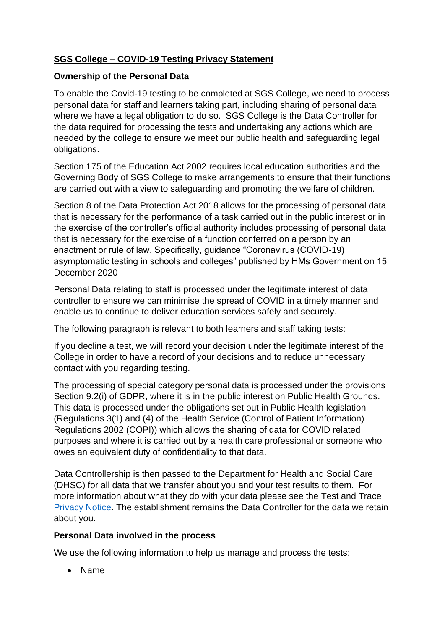# **SGS College – COVID-19 Testing Privacy Statement**

#### **Ownership of the Personal Data**

To enable the Covid-19 testing to be completed at SGS College, we need to process personal data for staff and learners taking part, including sharing of personal data where we have a legal obligation to do so. SGS College is the Data Controller for the data required for processing the tests and undertaking any actions which are needed by the college to ensure we meet our public health and safeguarding legal obligations.

Section 175 of the Education Act 2002 requires local education authorities and the Governing Body of SGS College to make arrangements to ensure that their functions are carried out with a view to safeguarding and promoting the welfare of children.

Section 8 of the Data Protection Act 2018 allows for the processing of personal data that is necessary for the performance of a task carried out in the public interest or in the exercise of the controller's official authority includes processing of personal data that is necessary for the exercise of a function conferred on a person by an enactment or rule of law. Specifically, guidance "Coronavirus (COVID-19) asymptomatic testing in schools and colleges" published by HMs Government on 15 December 2020

Personal Data relating to staff is processed under the legitimate interest of data controller to ensure we can minimise the spread of COVID in a timely manner and enable us to continue to deliver education services safely and securely.

The following paragraph is relevant to both learners and staff taking tests:

If you decline a test, we will record your decision under the legitimate interest of the College in order to have a record of your decisions and to reduce unnecessary contact with you regarding testing.

The processing of special category personal data is processed under the provisions Section 9.2(i) of GDPR, where it is in the public interest on Public Health Grounds. This data is processed under the obligations set out in Public Health legislation (Regulations 3(1) and (4) of the Health Service (Control of Patient Information) Regulations 2002 (COPI)) which allows the sharing of data for COVID related purposes and where it is carried out by a health care professional or someone who owes an equivalent duty of confidentiality to that data.

Data Controllership is then passed to the Department for Health and Social Care (DHSC) for all data that we transfer about you and your test results to them. For more information about what they do with your data please see the Test and Trace [Privacy Notice.](https://contact-tracing.phe.gov.uk/help/privacy-notice) The establishment remains the Data Controller for the data we retain about you.

## **Personal Data involved in the process**

We use the following information to help us manage and process the tests:

• Name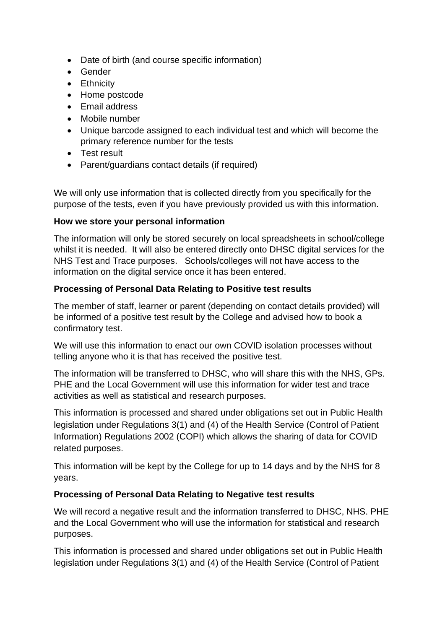- Date of birth (and course specific information)
- Gender
- Ethnicity
- Home postcode
- Email address
- Mobile number
- Unique barcode assigned to each individual test and which will become the primary reference number for the tests
- Test result
- Parent/guardians contact details (if required)

We will only use information that is collected directly from you specifically for the purpose of the tests, even if you have previously provided us with this information.

#### **How we store your personal information**

The information will only be stored securely on local spreadsheets in school/college whilst it is needed. It will also be entered directly onto DHSC digital services for the NHS Test and Trace purposes. Schools/colleges will not have access to the information on the digital service once it has been entered.

## **Processing of Personal Data Relating to Positive test results**

The member of staff, learner or parent (depending on contact details provided) will be informed of a positive test result by the College and advised how to book a confirmatory test.

We will use this information to enact our own COVID isolation processes without telling anyone who it is that has received the positive test.

The information will be transferred to DHSC, who will share this with the NHS, GPs. PHE and the Local Government will use this information for wider test and trace activities as well as statistical and research purposes.

This information is processed and shared under obligations set out in Public Health legislation under Regulations 3(1) and (4) of the Health Service (Control of Patient Information) Regulations 2002 (COPI) which allows the sharing of data for COVID related purposes.

This information will be kept by the College for up to 14 days and by the NHS for 8 years.

## **Processing of Personal Data Relating to Negative test results**

We will record a negative result and the information transferred to DHSC, NHS. PHE and the Local Government who will use the information for statistical and research purposes.

This information is processed and shared under obligations set out in Public Health legislation under Regulations 3(1) and (4) of the Health Service (Control of Patient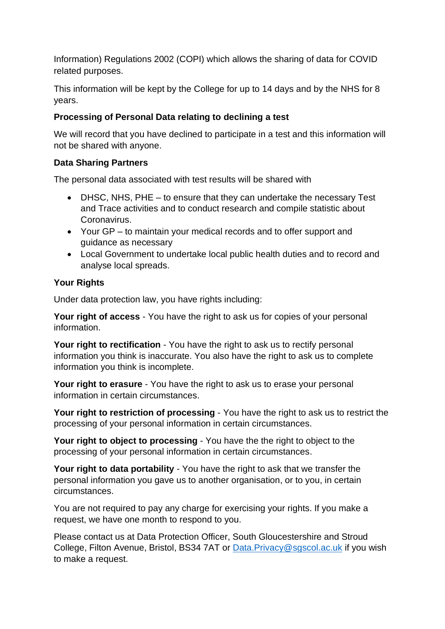Information) Regulations 2002 (COPI) which allows the sharing of data for COVID related purposes.

This information will be kept by the College for up to 14 days and by the NHS for 8 years.

## **Processing of Personal Data relating to declining a test**

We will record that you have declined to participate in a test and this information will not be shared with anyone.

## **Data Sharing Partners**

The personal data associated with test results will be shared with

- DHSC, NHS, PHE to ensure that they can undertake the necessary Test and Trace activities and to conduct research and compile statistic about Coronavirus.
- Your GP to maintain your medical records and to offer support and guidance as necessary
- Local Government to undertake local public health duties and to record and analyse local spreads.

# **Your Rights**

Under data protection law, you have rights including:

**Your right of access** - You have the right to ask us for copies of your personal information.

**Your right to rectification** - You have the right to ask us to rectify personal information you think is inaccurate. You also have the right to ask us to complete information you think is incomplete.

**Your right to erasure** - You have the right to ask us to erase your personal information in certain circumstances.

**Your right to restriction of processing** - You have the right to ask us to restrict the processing of your personal information in certain circumstances.

**Your right to object to processing** - You have the the right to object to the processing of your personal information in certain circumstances.

**Your right to data portability** - You have the right to ask that we transfer the personal information you gave us to another organisation, or to you, in certain circumstances.

You are not required to pay any charge for exercising your rights. If you make a request, we have one month to respond to you.

Please contact us at Data Protection Officer, South Gloucestershire and Stroud College, Filton Avenue, Bristol, BS34 7AT or [Data.Privacy@sgscol.ac.uk](mailto:Data.Privacy@sgscol.ac.uk) if you wish to make a request.